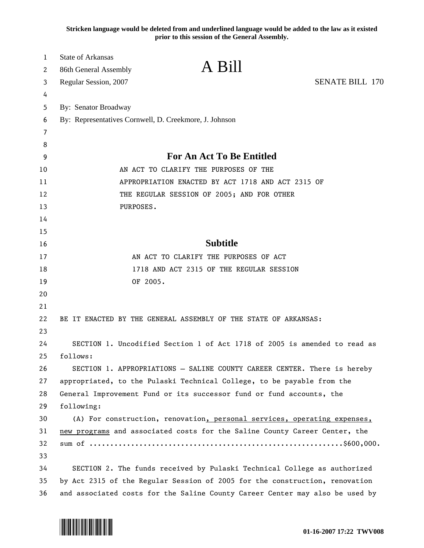**Stricken language would be deleted from and underlined language would be added to the law as it existed prior to this session of the General Assembly.**

| <b>SENATE BILL 170</b><br>Regular Session, 2007<br>3<br>4<br>By: Senator Broadway<br>5<br>By: Representatives Cornwell, D. Creekmore, J. Johnson<br>6<br>7<br>8<br><b>For An Act To Be Entitled</b><br>9<br>AN ACT TO CLARIFY THE PURPOSES OF THE<br>APPROPRIATION ENACTED BY ACT 1718 AND ACT 2315 OF<br>THE REGULAR SESSION OF 2005; AND FOR OTHER<br>PURPOSES.<br><b>Subtitle</b><br>AN ACT TO CLARIFY THE PURPOSES OF ACT<br>1718 AND ACT 2315 OF THE REGULAR SESSION<br>OF 2005.<br>BE IT ENACTED BY THE GENERAL ASSEMBLY OF THE STATE OF ARKANSAS:<br>SECTION 1. Uncodified Section 1 of Act 1718 of 2005 is amended to read as<br>follows:<br>26<br>SECTION 1. APPROPRIATIONS - SALINE COUNTY CAREER CENTER. There is hereby<br>27<br>appropriated, to the Pulaski Technical College, to be payable from the<br>28<br>General Improvement Fund or its successor fund or fund accounts, the<br>29<br>following:<br>30<br>(A) For construction, renovation, personal services, operating expenses,<br>31<br>new programs and associated costs for the Saline County Career Center, the<br>32<br>33<br>34<br>SECTION 2. The funds received by Pulaski Technical College as authorized<br>35<br>by Act 2315 of the Regular Session of 2005 for the construction, renovation | 1<br>2 | <b>State of Arkansas</b><br>86th General Assembly | A Bill |  |
|--------------------------------------------------------------------------------------------------------------------------------------------------------------------------------------------------------------------------------------------------------------------------------------------------------------------------------------------------------------------------------------------------------------------------------------------------------------------------------------------------------------------------------------------------------------------------------------------------------------------------------------------------------------------------------------------------------------------------------------------------------------------------------------------------------------------------------------------------------------------------------------------------------------------------------------------------------------------------------------------------------------------------------------------------------------------------------------------------------------------------------------------------------------------------------------------------------------------------------------------------------------------------------|--------|---------------------------------------------------|--------|--|
|                                                                                                                                                                                                                                                                                                                                                                                                                                                                                                                                                                                                                                                                                                                                                                                                                                                                                                                                                                                                                                                                                                                                                                                                                                                                                |        |                                                   |        |  |
|                                                                                                                                                                                                                                                                                                                                                                                                                                                                                                                                                                                                                                                                                                                                                                                                                                                                                                                                                                                                                                                                                                                                                                                                                                                                                |        |                                                   |        |  |
|                                                                                                                                                                                                                                                                                                                                                                                                                                                                                                                                                                                                                                                                                                                                                                                                                                                                                                                                                                                                                                                                                                                                                                                                                                                                                |        |                                                   |        |  |
|                                                                                                                                                                                                                                                                                                                                                                                                                                                                                                                                                                                                                                                                                                                                                                                                                                                                                                                                                                                                                                                                                                                                                                                                                                                                                |        |                                                   |        |  |
|                                                                                                                                                                                                                                                                                                                                                                                                                                                                                                                                                                                                                                                                                                                                                                                                                                                                                                                                                                                                                                                                                                                                                                                                                                                                                |        |                                                   |        |  |
|                                                                                                                                                                                                                                                                                                                                                                                                                                                                                                                                                                                                                                                                                                                                                                                                                                                                                                                                                                                                                                                                                                                                                                                                                                                                                |        |                                                   |        |  |
|                                                                                                                                                                                                                                                                                                                                                                                                                                                                                                                                                                                                                                                                                                                                                                                                                                                                                                                                                                                                                                                                                                                                                                                                                                                                                |        |                                                   |        |  |
|                                                                                                                                                                                                                                                                                                                                                                                                                                                                                                                                                                                                                                                                                                                                                                                                                                                                                                                                                                                                                                                                                                                                                                                                                                                                                | 10     |                                                   |        |  |
|                                                                                                                                                                                                                                                                                                                                                                                                                                                                                                                                                                                                                                                                                                                                                                                                                                                                                                                                                                                                                                                                                                                                                                                                                                                                                | 11     |                                                   |        |  |
|                                                                                                                                                                                                                                                                                                                                                                                                                                                                                                                                                                                                                                                                                                                                                                                                                                                                                                                                                                                                                                                                                                                                                                                                                                                                                | 12     |                                                   |        |  |
|                                                                                                                                                                                                                                                                                                                                                                                                                                                                                                                                                                                                                                                                                                                                                                                                                                                                                                                                                                                                                                                                                                                                                                                                                                                                                | 13     |                                                   |        |  |
|                                                                                                                                                                                                                                                                                                                                                                                                                                                                                                                                                                                                                                                                                                                                                                                                                                                                                                                                                                                                                                                                                                                                                                                                                                                                                | 14     |                                                   |        |  |
|                                                                                                                                                                                                                                                                                                                                                                                                                                                                                                                                                                                                                                                                                                                                                                                                                                                                                                                                                                                                                                                                                                                                                                                                                                                                                | 15     |                                                   |        |  |
|                                                                                                                                                                                                                                                                                                                                                                                                                                                                                                                                                                                                                                                                                                                                                                                                                                                                                                                                                                                                                                                                                                                                                                                                                                                                                | 16     |                                                   |        |  |
|                                                                                                                                                                                                                                                                                                                                                                                                                                                                                                                                                                                                                                                                                                                                                                                                                                                                                                                                                                                                                                                                                                                                                                                                                                                                                | 17     |                                                   |        |  |
|                                                                                                                                                                                                                                                                                                                                                                                                                                                                                                                                                                                                                                                                                                                                                                                                                                                                                                                                                                                                                                                                                                                                                                                                                                                                                | 18     |                                                   |        |  |
|                                                                                                                                                                                                                                                                                                                                                                                                                                                                                                                                                                                                                                                                                                                                                                                                                                                                                                                                                                                                                                                                                                                                                                                                                                                                                | 19     |                                                   |        |  |
|                                                                                                                                                                                                                                                                                                                                                                                                                                                                                                                                                                                                                                                                                                                                                                                                                                                                                                                                                                                                                                                                                                                                                                                                                                                                                | 20     |                                                   |        |  |
|                                                                                                                                                                                                                                                                                                                                                                                                                                                                                                                                                                                                                                                                                                                                                                                                                                                                                                                                                                                                                                                                                                                                                                                                                                                                                | 21     |                                                   |        |  |
|                                                                                                                                                                                                                                                                                                                                                                                                                                                                                                                                                                                                                                                                                                                                                                                                                                                                                                                                                                                                                                                                                                                                                                                                                                                                                | 22     |                                                   |        |  |
|                                                                                                                                                                                                                                                                                                                                                                                                                                                                                                                                                                                                                                                                                                                                                                                                                                                                                                                                                                                                                                                                                                                                                                                                                                                                                | 23     |                                                   |        |  |
|                                                                                                                                                                                                                                                                                                                                                                                                                                                                                                                                                                                                                                                                                                                                                                                                                                                                                                                                                                                                                                                                                                                                                                                                                                                                                | 24     |                                                   |        |  |
|                                                                                                                                                                                                                                                                                                                                                                                                                                                                                                                                                                                                                                                                                                                                                                                                                                                                                                                                                                                                                                                                                                                                                                                                                                                                                | 25     |                                                   |        |  |
|                                                                                                                                                                                                                                                                                                                                                                                                                                                                                                                                                                                                                                                                                                                                                                                                                                                                                                                                                                                                                                                                                                                                                                                                                                                                                |        |                                                   |        |  |
|                                                                                                                                                                                                                                                                                                                                                                                                                                                                                                                                                                                                                                                                                                                                                                                                                                                                                                                                                                                                                                                                                                                                                                                                                                                                                |        |                                                   |        |  |
|                                                                                                                                                                                                                                                                                                                                                                                                                                                                                                                                                                                                                                                                                                                                                                                                                                                                                                                                                                                                                                                                                                                                                                                                                                                                                |        |                                                   |        |  |
|                                                                                                                                                                                                                                                                                                                                                                                                                                                                                                                                                                                                                                                                                                                                                                                                                                                                                                                                                                                                                                                                                                                                                                                                                                                                                |        |                                                   |        |  |
|                                                                                                                                                                                                                                                                                                                                                                                                                                                                                                                                                                                                                                                                                                                                                                                                                                                                                                                                                                                                                                                                                                                                                                                                                                                                                |        |                                                   |        |  |
|                                                                                                                                                                                                                                                                                                                                                                                                                                                                                                                                                                                                                                                                                                                                                                                                                                                                                                                                                                                                                                                                                                                                                                                                                                                                                |        |                                                   |        |  |
|                                                                                                                                                                                                                                                                                                                                                                                                                                                                                                                                                                                                                                                                                                                                                                                                                                                                                                                                                                                                                                                                                                                                                                                                                                                                                |        |                                                   |        |  |
|                                                                                                                                                                                                                                                                                                                                                                                                                                                                                                                                                                                                                                                                                                                                                                                                                                                                                                                                                                                                                                                                                                                                                                                                                                                                                |        |                                                   |        |  |
|                                                                                                                                                                                                                                                                                                                                                                                                                                                                                                                                                                                                                                                                                                                                                                                                                                                                                                                                                                                                                                                                                                                                                                                                                                                                                |        |                                                   |        |  |
| 36<br>and associated costs for the Saline County Career Center may also be used by                                                                                                                                                                                                                                                                                                                                                                                                                                                                                                                                                                                                                                                                                                                                                                                                                                                                                                                                                                                                                                                                                                                                                                                             |        |                                                   |        |  |